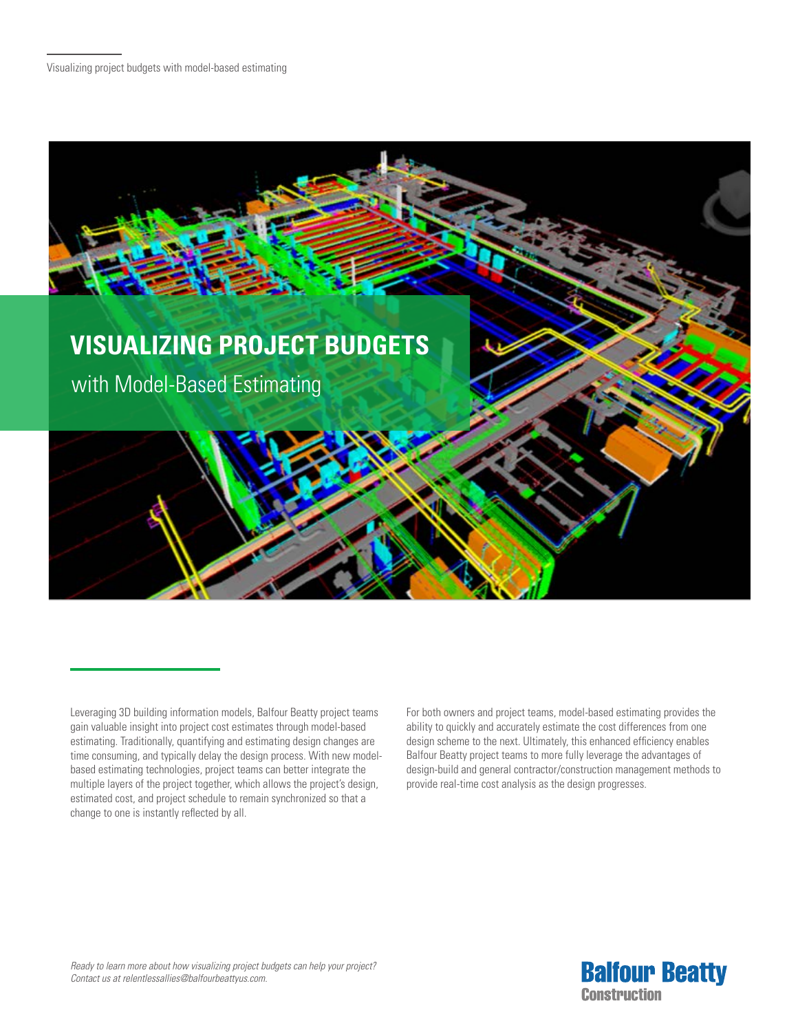

For both owners and project teams, model-based estimating provides the ability to quickly and accurately estimate the cost differences from one design scheme to the next. Ultimately, this enhanced efficiency enables Balfour Beatty project teams to more fully leverage the advantages of design-build and general contractor/construction management methods to provide real-time cost analysis as the design progresses.



Leveraging 3D building information models, Balfour Beatty project teams gain valuable insight into project cost estimates through model-based estimating. Traditionally, quantifying and estimating design changes are time consuming, and typically delay the design process. With new modelbased estimating technologies, project teams can better integrate the multiple layers of the project together, which allows the project's design, estimated cost, and project schedule to remain synchronized so that a change to one is instantly reflected by all.